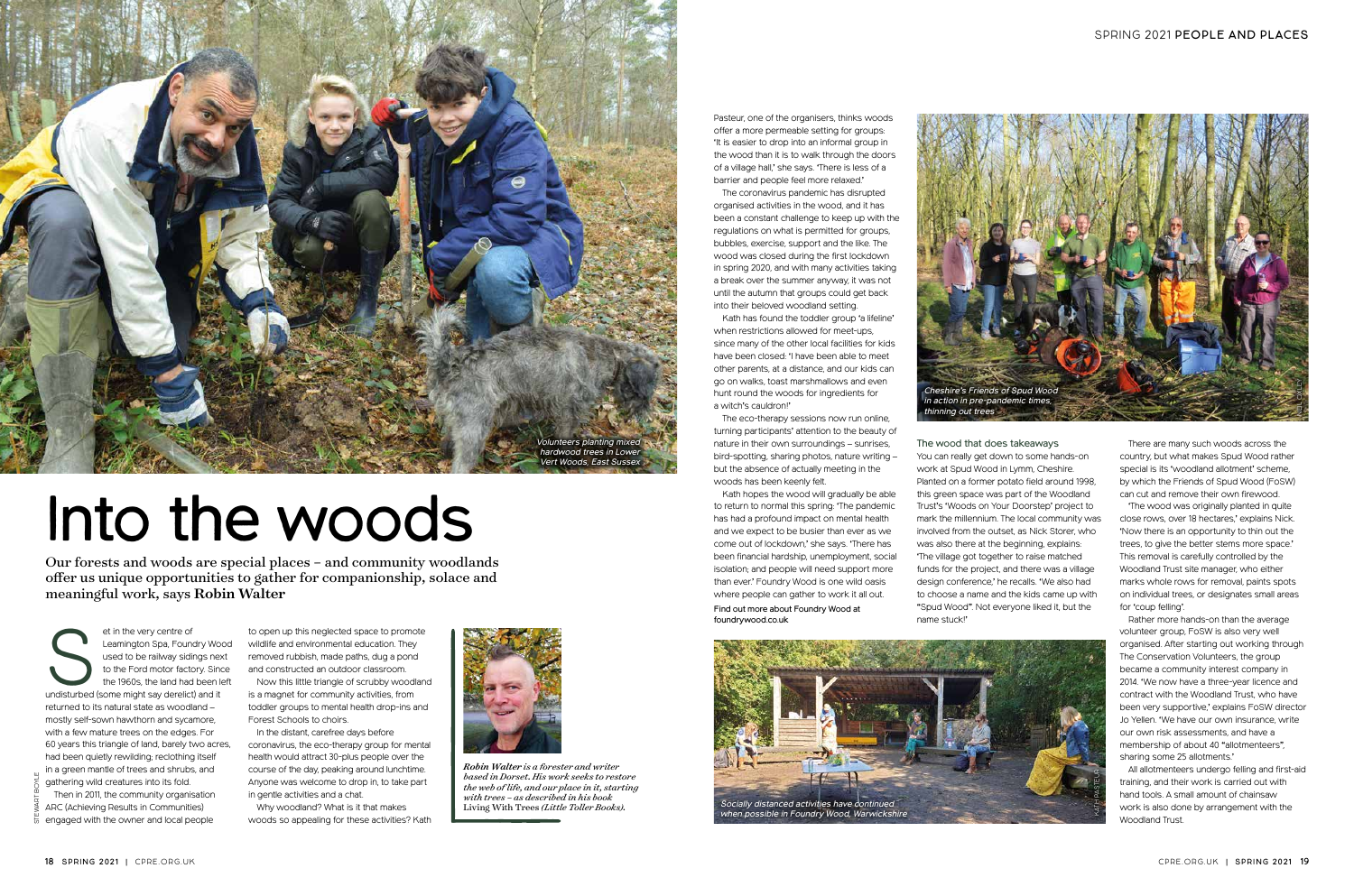There are many such woods across the country, but what makes Spud Wood rather special is its 'woodland allotment' scheme, by which the Friends of Spud Wood (FoSW) can cut and remove their own firewood.

'The wood was originally planted in quite close rows, over 18 hectares,' explains Nick. 'Now there is an opportunity to thin out the trees, to give the better stems more space.' This removal is carefully controlled by the Woodland Trust site manager, who either marks whole rows for removal, paints spots on individual trees, or designates small areas for 'coup felling'.

Rather more hands-on than the average volunteer group, FoSW is also very well organised. After starting out working through The Conservation Volunteers, the group became a community interest company in 2014. 'We now have a three-year licence and contract with the Woodland Trust, who have been very supportive,' explains FoSW director Jo Yellen. 'We have our own insurance, write our own risk assessments, and have a membership of about 40 "allotmenteers", sharing some 25 allotments.'

et in the very centre of<br>
Leamington Spa, Foundry Woo<br>
used to be railway sidings nex<br>
to the Ford motor factory. Since<br>
the 1960s, the land had been le<br>
undisturbed (some might say derelict) and it Leamington Spa, Foundry Wood used to be railway sidings next to the Ford motor factory. Since the 1960s, the land had been left returned to its natural state as woodland – mostly self-sown hawthorn and sycamore, with a few mature trees on the edges. For 60 years this triangle of land, barely two acres, had been quietly rewilding; reclothing itself in a green mantle of trees and shrubs, and gathering wild creatures into its fold. Then in 2011, the community organisation

ARC (Achieving Results in Communities)  $\bar{\bar{\mathrm{o}}}$  engaged with the owner and local people

All allotmenteers undergo felling and first-aid training, and their work is carried out with hand tools. A small amount of chainsaw work is also done by arrangement with the Woodland Trust.



*Robin Walter is a forester and writer based in Dorset. His work seeks to restore the web of life, and our place in it, starting with trees – as described in his book*  Living With Trees *(Little Toller Books).*

## Into the woods

to open up this neglected space to promote wildlife and environmental education. They removed rubbish, made paths, dug a pond and constructed an outdoor classroom.

Now this little triangle of scrubby woodland is a magnet for community activities, from toddler groups to mental health drop-ins and Forest Schools to choirs.

In the distant, carefree days before coronavirus, the eco-therapy group for mental health would attract 30-plus people over the course of the day, peaking around lunchtime. Anyone was welcome to drop in, to take part in gentle activities and a chat.

Why woodland? What is it that makes woods so appealing for these activities? Kath

Our forests and woods are special places – and community woodlands offer us unique opportunities to gather for companionship, solace and meaningful work, says Robin Walter





The wood that does takeaways You can really get down to some hands-on work at Spud Wood in Lymm, Cheshire. Planted on a former potato field around 1998, this green space was part of the Woodland Trust's 'Woods on Your Doorstep' project to mark the millennium. The local community was involved from the outset, as Nick Storer, who was also there at the beginning, explains: 'The village got together to raise matched funds for the project, and there was a village design conference,' he recalls. 'We also had to choose a name and the kids came up with "Spud Wood". Not everyone liked it, but the name stuck!'

Pasteur, one of the organisers, thinks woods offer a more permeable setting for groups: 'It is easier to drop into an informal group in the wood than it is to walk through the doors of a village hall,' she says. 'There is less of a barrier and people feel more relaxed.'

The coronavirus pandemic has disrupted organised activities in the wood, and it has been a constant challenge to keep up with the regulations on what is permitted for groups, bubbles, exercise, support and the like. The wood was closed during the first lockdown in spring 2020, and with many activities taking a break over the summer anyway, it was not until the autumn that groups could get back into their beloved woodland setting.

Kath has found the toddler group 'a lifeline' when restrictions allowed for meet-ups, since many of the other local facilities for kids have been closed: 'I have been able to meet other parents, at a distance, and our kids can go on walks, toast marshmallows and even hunt round the woods for ingredients for a witch's cauldron!'

The eco-therapy sessions now run online, turning participants' attention to the beauty of nature in their own surroundings – sunrises, bird-spotting, sharing photos, nature writing – but the absence of actually meeting in the woods has been keenly felt.

Kath hopes the wood will gradually be able to return to normal this spring: 'The pandemic has had a profound impact on mental health and we expect to be busier than ever as we come out of lockdown,' she says. 'There has been financial hardship, unemployment, social isolation; and people will need support more than ever.' Foundry Wood is one wild oasis where people can gather to work it all out.

Find out more about Foundry Wood at foundrywood.co.uk